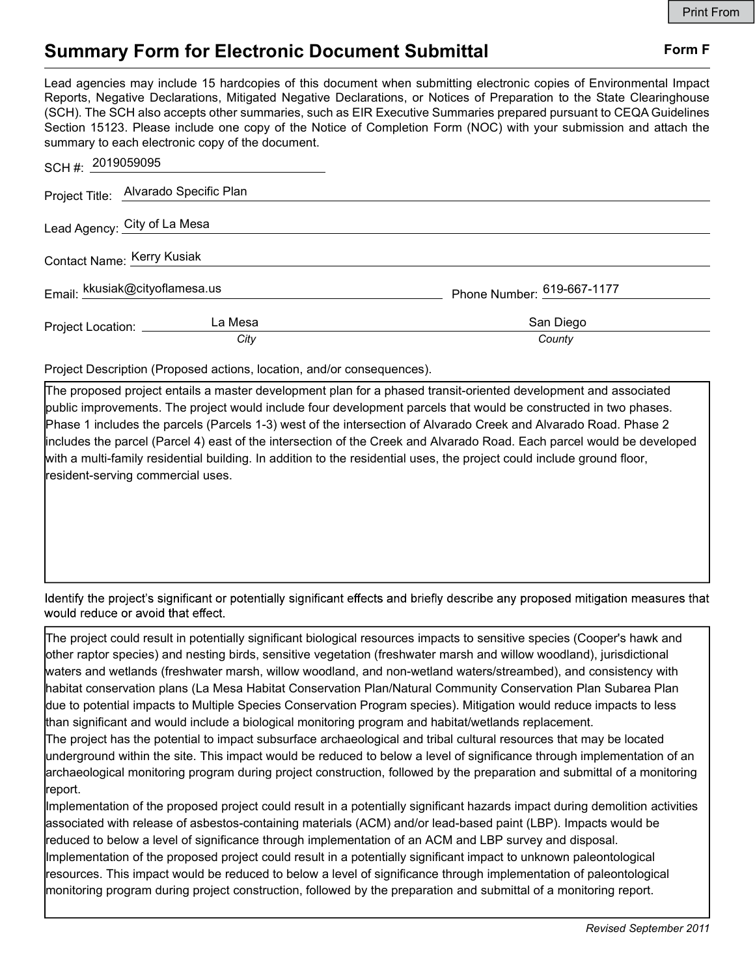## Summary Form for Electronic Document Submittal Form F

Lead agencies may include 15 hardcopies of this document when submitting electronic copies of Environmental Impact Reports, Negative Declarations, Mitigated Negative Declarations, or Notices of Preparation to the State Clearinghouse (SCH). The SCH also accepts other summaries, such as EIR Executive Summaries prepared pursuant to CEQA Guidelines Section 15123. Please include one copy of the Notice of Completion Form (NOC) with your submission and attach the summary to each electronic copy of the document.

| SCH #: 2019059095              |                                       |                            |
|--------------------------------|---------------------------------------|----------------------------|
|                                | Project Title: Alvarado Specific Plan |                            |
|                                | Lead Agency: City of La Mesa          |                            |
| Contact Name: Kerry Kusiak     |                                       |                            |
| Email: kkusiak@cityoflamesa.us |                                       | Phone Number: 619-667-1177 |
| Project Location: ________     | La Mesa                               | San Diego                  |
|                                | City                                  | County                     |

Project Description (Proposed actions, location, and/or consequences).

The proposed project entails a master development plan for a phased transit-oriented development and associated public improvements. The project would include four development parcels that would be constructed in two phases. Phase 1 includes the parcels (Parcels 1-3) west of the intersection of Alvarado Creek and Alvarado Road. Phase 2 includes the parcel (Parcel 4) east of the intersection of the Creek and Alvarado Road. Each parcel would be developed with a multi-family residential building. In addition to the residential uses, the project could include ground floor, resident-serving commercial uses.

Identify the project's significant or potentially significant effects and briefly describe any proposed mitigation measures that would reduce or avoid that effect.

The project could result in potentially significant biological resources impacts to sensitive species (Cooper's hawk and other raptor species) and nesting birds, sensitive vegetation (freshwater marsh and willow woodland), jurisdictional waters and wetlands (freshwater marsh, willow woodland, and non-wetland waters/streambed), and consistency with habitat conservation plans (La Mesa Habitat Conservation Plan/Natural Community Conservation Plan Subarea Plan due to potential impacts to Multiple Species Conservation Program species). Mitigation would reduce impacts to less than significant and would include a biological monitoring program and habitat/wetlands replacement.

The project has the potential to impact subsurface archaeological and tribal cultural resources that may be located underground within the site. This impact would be reduced to below a level of significance through implementation of an archaeological monitoring program during project construction, followed by the preparation and submittal of a monitoring report.

Implementation of the proposed project could result in a potentially significant hazards impact during demolition activities associated with release of asbestos-containing materials (ACM) and/or lead-based paint (LBP). Impacts would be reduced to below a level of significance through implementation of an ACM and LBP survey and disposal. Implementation of the proposed project could result in a potentially significant impact to unknown paleontological resources. This impact would be reduced to below a level of significance through implementation of paleontological monitoring program during project construction, followed by the preparation and submittal of a monitoring report.